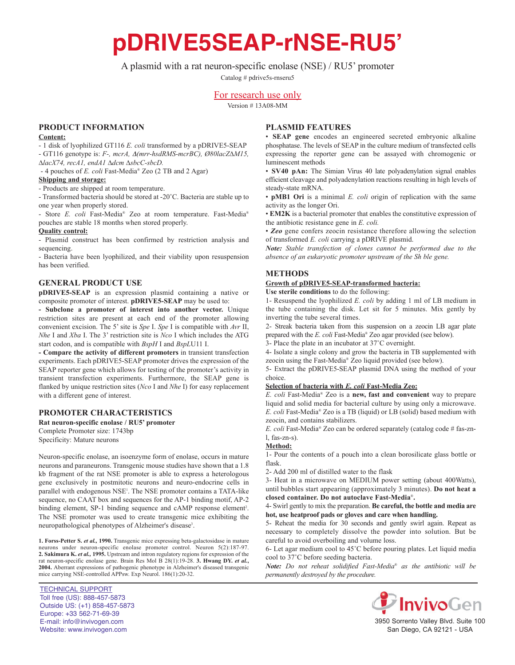# **pDRIVE5SEAP-rNSE-RU5'**

# A plasmid with a rat neuron-specific enolase (NSE) / RU5' promoter

Catalog # pdrive5s-rnseru5

## For research use only

Version # 13A08-MM

## **PrOduct infOrmatiOn**

#### **content:**

- 1 disk of lyophilized GT116 *E. coli* transformed by a pDRIVE5-SEAP - GT116 genotype is: *F-, mcrA,* D*(mrr-hsdRMS-mcrBC), Ø80lacZ∆M15,*

*∆lacX74, recA1, endA1 ∆dcm ∆sbcC-sbcD.*

- 4 pouches of *E. coli* Fast-Media® Zeo (2 TB and 2 Agar)

## **shipping and storage:**

- Products are shipped at room temperature.

- Transformed bacteria should be stored at -20˚C. Bacteria are stable up to one year when properly stored.

- Store *E. coli* Fast-Media® Zeo at room temperature. Fast-Media® pouches are stable 18 months when stored properly.

## **Quality control:**

- Plasmid construct has been confirmed by restriction analysis and sequencing.

- Bacteria have been lyophilized, and their viability upon resuspension has been verified.

#### **General PrOduct use**

**pDRIVE5-SEAP** is an expression plasmid containing a native or composite promoter of interest. **pdriVe5-seaP** may be used to:

**- subclone a promoter of interest into another vector.** Unique restriction sites are present at each end of the promoter allowing convenient excision. The 5' site is *Spe* I. *Spe* I is compatible with *Avr* II, *Nhe* I and *Xba* I. The 3' restriction site is *Nco* I which includes the ATG start codon, and is compatible with *BspH* I and *BspL*U11 I.

**- compare the activity of different promoters** in transient transfection experiments. Each pDRIVE5-SEAP promoter drives the expression of the SEAP reporter gene which allows for testing of the promoter's activity in transient transfection experiments. Furthermore, the SEAP gene is flanked by unique restriction sites (*Nco* I and *Nhe* I) for easy replacement with a different gene of interest.

#### **PrOmOter characteristics**

Rat neuron-specific enolase / RU5' promoter Complete Promoter size: 1743bp Specificity: Mature neurons

Neuron-specific enolase, an isoenzyme form of enolase, occurs in mature neurons and paraneurons. Transgenic mouse studies have shown that a 1.8 kb fragment of the rat NSE promoter is able to express a heterologous gene exclusively in postmitotic neurons and neuro-endocrine cells in parallel with endogenous NSE<sup>1</sup>. The NSE promoter contains a TATA-like sequence, no CAAT box and sequences for the AP-1 binding motif, AP-2 binding element, SP-1 binding sequence and cAMP response element<sup>2</sup>. The NSE promoter was used to create transgenic mice exhibiting the neuropathological phenotypes of Alzheimer's disease<sup>3</sup>.

**1. forss-Petter s.** *et al.,* **1990.** Transgenic mice expressing beta-galactosidase in mature neurons under neuron-specific enolase promoter control. Neuron 5(2):187-97. **2. sakimura K.** *et al.,* **1995.** Upstream and intron regulatory regions for expression of the rat neuron-specific enolase gene. Brain Res Mol B 28(1):19-28. **3. Hwang DY.** *et al.*, **2004.** Aberrant expressions of pathogenic phenotype in Alzheimer's diseased transgenic mice carrying NSE-controlled APPsw. Exp Neurol. 186(1):20-32.

## **Plasmid features**

• **seaP gene** encodes an engineered secreted embryonic alkaline phosphatase. The levels of SEAP in the culture medium of transfected cells expressing the reporter gene can be assayed with chromogenic or luminescent methods

• **sV40 pan:** The Simian Virus 40 late polyadenylation signal enables efficient cleavage and polyadenylation reactions resulting in high levels of steady-state mRNA.

• **pmB1 Ori** is a minimal *E. coli* origin of replication with the same activity as the longer Ori.

• **EM2K** is a bacterial promoter that enables the constitutive expression of the antibiotic resistance gene in *E. coli.*

• *Zeo* gene confers zeocin resistance therefore allowing the selection of transformed *E. coli* carrying a pDRIVE plasmid.

*Note: Stable transfection of clones cannot be performed due to the absence of an eukaryotic promoter upstream of the Sh ble gene.*

#### **methOds**

#### **Growth of pdriVe5-seaP-transformed bacteria:**

**use sterile conditions** to do the following:

1- Resuspend the lyophilized *E. coli* by adding 1 ml of LB medium in the tube containing the disk. Let sit for 5 minutes. Mix gently by inverting the tube several times.

2- Streak bacteria taken from this suspension on a zeocin LB agar plate prepared with the *E. coli* Fast-Media® Zeo agar provided (see below).

3- Place the plate in an incubator at 37˚C overnight.

4- Isolate a single colony and grow the bacteria in TB supplemented with zeocin using the Fast-Media® Zeo liquid provided (see below).

5- Extract the pDRIVE5-SEAP plasmid DNA using the method of your choice.

#### **selection of bacteria with** *E. coli* **fast-media Zeo:**

*E. coli* Fast-Media® Zeo is a **new, fast and convenient** way to prepare liquid and solid media for bacterial culture by using only a microwave. *E. coli* Fast-Media® Zeo is a TB (liquid) or LB (solid) based medium with zeocin, and contains stabilizers.

*E. coli* Fast-Media® Zeo can be ordered separately (catalog code # fas-znl, fas-zn-s).

#### **method:**

1- Pour the contents of a pouch into a clean borosilicate glass bottle or flask.

2- Add 200 ml of distilled water to the flask

3- Heat in a microwave on MEDIUM power setting (about 400Watts), until bubbles start appearing (approximately 3 minutes). Do not heat a **closed container. do not autoclave fast-media**®**.**

4- Swirl gently to mix the preparation. **Be careful, the bottle and media are hot, use heatproof pads or gloves and care when handling.**

5- Reheat the media for 30 seconds and gently swirl again. Repeat as necessary to completely dissolve the powder into solution. But be careful to avoid overboiling and volume loss.

6- Let agar medium cool to 45˚C before pouring plates. Let liquid media cool to 37˚C before seeding bacteria.

*Note: Do not reheat solidified Fast-Media*® *as the antibiotic will be permanently destroyed by the procedure.*



3950 Sorrento Valley Blvd. Suite 100 San Diego, CA 92121 - USA

TECHNICAL SUPPORT Toll free (US): 888-457-5873 Outside US: (+1) 858-457-5873 Europe: +33 562-71-69-39 E-mail: info@invivogen.com Website: www.invivogen.com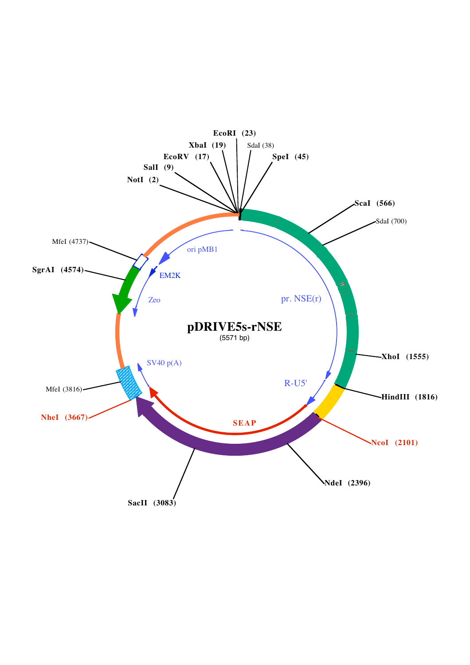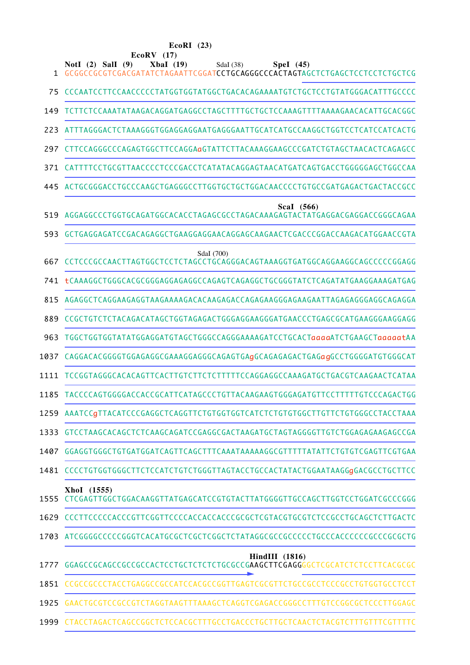| EcoRI | (23) |
|-------|------|
|-------|------|

| 1    | $EcoRV$ (17)<br>NotI $(2)$ SalI $(9)$<br>XbaI(19)<br>SdaI (38)<br>Spel (45)<br>GCGGCCGCGTCGACGATATCTAGAATTCGGATCCTGCAGGGCCCACTAGTAGCTCTGAGCTCCTCCTCTGCTCG |
|------|-----------------------------------------------------------------------------------------------------------------------------------------------------------|
| 75   | CCCAATCCTTCCAACCCCCTATGGTGGTATGGCTGACACAGAAAATGTCTGCTCCTGTATGGGACATTTGCCCC                                                                                |
| 149  | TCTTCTCCAAATATAAGACAGGATGAGGCCTAGCTTTTGCTGCTCCAAAGTTTTAAAAGAACACATTGCACGGC                                                                                |
| 223  |                                                                                                                                                           |
| 297  | CTTCCAGGGCCCAGAGTGGCTTCCAGGAaGTATTCTTACAAAGGAAGCCCGATCTGTAGCTAACACTCAGAGCC                                                                                |
| 371  | CATTTTCCTGCGTTAACCCCTCCCGACCTCATATACAGGAGTAACATGATCAGTGACCTGGGGAGCTGGCCAA                                                                                 |
| 445  |                                                                                                                                                           |
| 519  | Scal (566)<br>AGGAGGCCCTGGTGCAGATGGCACACCTAGAGCGCCTAGACAAAGAGTACTATGAGGACGAGGACCGGGCAGAA                                                                  |
| 593. | GCTGAGGAGATCCGACAGAGGCTGAAGGAGGAACAGGAGCAAGAACTCGACCCGGACCAAGACATGGAACCGTA                                                                                |
| 667  | SdaI (700)<br>CCTCCCGCCAACTTAGTGGCTCCTCTAGCCTGCAGGGACAGTAAAGGTGATGGCAGGAAGGCAGCCCCCGGAGG                                                                  |
| 741. | tCAAAGGCTGGGCACGCGGGAGGAGAGGCCAGAGTCAGAGGCTGCGGGTATCTCAGATATGAAGGAAAGATGAG                                                                                |
| 815  |                                                                                                                                                           |
| 889  | CCGCTGTCTCTACAGACATAGCTGGTAGAGACTGGGAGGAAGGGATGAACCCTGAGCGCATGAAGGGAAGGAGG                                                                                |
| 963  | TGGCTGGTGGTATATGGAGGATGTAGCTGGGCCAGGGAAAAGATCCTGCACTaaaaATCTGAAGCTaaaaatAA                                                                                |
| 1037 | CAGGACACGGGGTGGAGAGGCGAAAGGAGGGCAGAGTGAGGGAGAGACTGAGagGCCTGGGGATGTGGCAT                                                                                   |
| 1111 | TCCGGTAGGGCACACAGTTCACTTGTCTTCTCTTTTTCCAGGAGGCCAAAGATGCTGACGTCAAGAACTCATAA                                                                                |
|      | 1185 TACCCCAGTGGGGACCACCGCATTCATAGCCCTGTTACAAGAAGTGGGAGATGTTCCTTTTTGTCCCAGACTGG                                                                           |
|      |                                                                                                                                                           |
| 1333 | GTCCTAAGCACAGCTCTCAAGCAGATCCGAGGCGACTAAGATGCTAGTAGGGGTTGTCTGGAGAGAAGAGCCGA                                                                                |
| 1407 | GGAGGTGGGCTGTGATGGATCAGTTCAGCTTTCAAATAAAAAGGCGTTTTTATATTCTGTGTCGAGTTCGTGAA                                                                                |
| 1481 | CCCCTGTGGTGGGCTTCTCCATCTGTCTGGGTTAGTACCTGCCACTATACTGGAATAAGGgGACGCCTGCTTCC                                                                                |
| 1555 | XhoI (1555)<br>CTCGAGTTGGCTGGACAAGGTTATGAGCATCCGTGTACTTATGGGGTTGCCAGCTTGGTCCTGGATCGCCCGGG                                                                 |
|      | 1629 CCCTTCCCCCACCCGTTCGGTTCCCCACCACCACCGCGCTCGTACGTGCGTCTCCGCCTGCAGCTCTTGACTC                                                                            |
| 1703 |                                                                                                                                                           |
| 1777 | <b>HindIII</b> (1816)<br>GGAGCCGCAGCCGCCGCCACTCCTGCTCTCTCTGCGCCGAAGCTTCGAGGGGCTCGCATCTCTCCTTCACGCGC                                                       |
| 1851 | CCGCCGCCCTACCTGAGGCCGCCATCCACGCCGGTTGAGTCGCGTTCTGCCGCCTCCCGCCTGTGGTGCCTCCT                                                                                |
| 1925 | GAACTGCGTCCGCCGTCTAGGTAAGTTTAAAGCTCAGGTCGAGACCGGGCCTTTGTCCGGCGCTCCCTTGGAGC                                                                                |
|      |                                                                                                                                                           |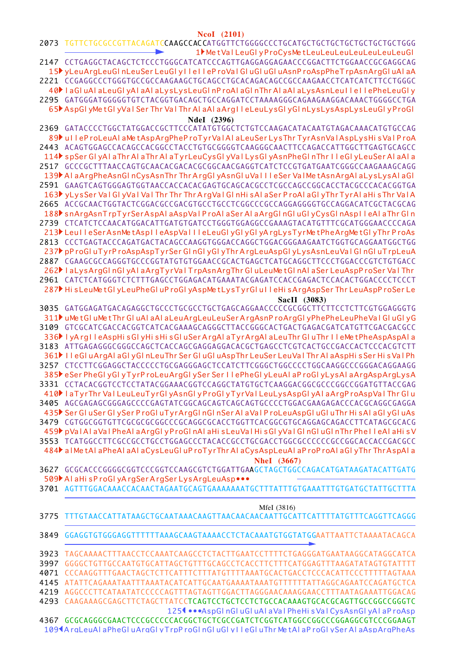**NcoI** (2101)

|      | INCUL ( <i>A</i> ivi <i>)</i><br>2073 TGTTCTGCGCCGTTACAGATCCAAGCCACCATGGTTCTGGGGCCCTGCATGCTGCTGCTGCTGCTGCTGCTGGGG                                                                  |
|------|------------------------------------------------------------------------------------------------------------------------------------------------------------------------------------|
|      | 1 Met Val LeuGly ProCysMetLeuLeuLeuLeuLeuLeuLeuCl                                                                                                                                  |
|      | 2147 CCTGAGGCTACAGCTCTCCCTGGGCATCATCCCAGTTGAGGAGGAGCACCCGGACTTCTGGAACCGCGAGGCAG<br>15 <sup>t</sup> yLeuArgLeuGInLeuSer LeuGI yIIeIIeP roValGIuGIuGIuAsnP roAspPheT rpAsnArgGIuAIaA |
|      |                                                                                                                                                                                    |
|      | 40 laGluAlaLeuGlyAlaAlaLysLysLeuGlnProAlaGlnThrAlaAlaLysAsnLeuIleIlePheLeuGly                                                                                                      |
|      | 2295 GATGGGATGGGGGTGTCTACGGTGACAGCTGCCAGGATCCTAAAAGGGCAGAAGAAGGACAAACTGGGGCCTGA                                                                                                    |
|      | 65 AspGI yMetGI yVal Ser Thr Val Thr AI aAI aArgII eLeuLysGI yGI nLysLysAspLysLeuGI yProGI                                                                                         |
|      | NdeI (2396)                                                                                                                                                                        |
|      | 2369 GATACCCCTGGCTATGGACCGCTTCCCATATGTGGCTCTGTCCAAGACATACAATGTAGACAAACATGTGCCAG                                                                                                    |
|      | 89 UI leProLeuAlaMetAspArgPheProTyrValAlaLeuSerLysThrTyrAsnValAspLysHisValProA                                                                                                     |
|      | 2443 ACAGTGGAGCCACAGCCACGGCCTACCTGTGCGGGTCAAGGGCAACTTCCAGACCATTGGCTTGAGTGCAGCC                                                                                                     |
|      | 114 spSer GI yAI a Thr AI a Thr AI a TyrLeuCysGI yVaI LysGI yAsnPheGI n Thr IIeGI yLeuSer AI a AI a                                                                                |
|      | 2517 GCCCGCTTTAACCAGTGCAACACGACACGGGGCAACGAGGTCATCTCCGTGATGAATCGGGCCAAGAAAGCAGG                                                                                                    |
|      | 139 AlaArgPheAsnGlnCysAsnThrThrArgGlyAsnGluVallleSerValMetAsnArgAlaLysLysAlaGl                                                                                                     |
|      | 2591    GAAGTCAGTGGGAGTGGTAACCACCACACGAGTGCAGCACGCCTCGCCAGCCGGCACCTACGCCCACACGGTGA                                                                                                 |
|      | 163 y Lys Ser Val GI y Val Val Thr Thr Thr Arg Val GI n His Ala Ser Pro Ala GI y Thr Tyr Ala His Thr Val A                                                                         |
|      | 2665 ACCGCAACTGGTACTCGGACGCCGACGTGCCTGCCTCGGCCCGCCAGGAGGGGTGCCAGGACATCGCTACGCAG                                                                                                    |
|      | 188 snArgAsnTrpTyrSerAspAlaAspValProAlaSerAlaArgGlnGluGlyCysGlnAspIleAlaThrGln<br>2739 CTCATCTCCAACATGGACATTGATGTGATCCTGGGTGGAGGCCGAAAGTACATGTTTCGCATGGGAACCCCAGA                  |
|      | 213 Leul le Ser Asn Met Asplle Asp Vall le Leu Gly Gly Gly Arg Lys Tyr Met Phe Arg Met Gly Thr Pro As                                                                              |
|      | 2813 CCCTGAGTACCCAGATGACTACAGCCAAGGTGGGACCAGGCTGGACGGGAAGAATCTGGTGCAGGAATGGCTGG                                                                                                    |
|      | 237 pP roGI uTyrP roAspAspTyrSer GI nGI yGI yThr ArgLeuAspGI yLysAsnLeuVaI GI nGI uTrpLeuA                                                                                         |
|      | 2887 CGAAGCGCCAGGGTGCCCGGTATGTGTGGAACCGCACTGAGCTCATGCAGGCTTCCCTGGACCCGTCTGTGACC                                                                                                    |
|      | 262 I aLysArgGInGIyAI aArgTyrVaITrpAsnArgThrGIuLeuMetGInAI aSerLeuAspProSerVaIThr                                                                                                  |
|      |                                                                                                                                                                                    |
|      | 287 His Leu Met Gly Leu Phe Glu Pro Gly Asp Met Lys Tyr Glu I le His Arg Asp Ser Thr Leu Asp Pro Ser Le                                                                            |
|      | SacII (3083)                                                                                                                                                                       |
|      | 3035 GATGGAGATGACAGAGGCTGCCCTGCGCCTGCTGAGCAGGAACCCCCGCGGCTTCTTCCTCTTCGTGGAGGGTG                                                                                                    |
|      | 311 JuMetGIuMetThrGIuAIaAIaLeuArgLeuLeuSerArgAsnProArgGIyPhePheLeuPheVaIGIuGIyG                                                                                                    |
|      |                                                                                                                                                                                    |
|      | 336 IyArgIleAspHisGIyHisHisGIuSerArgAIaTyrArgAIaLeuThrGIuThrIleMetPheAspAspAIa                                                                                                     |
|      | 3183 ATTGAGAGGGCGGGCCAGCTCACCAGCGAGGAGGACACGCTGAGCCTCGTCACTGCCGACCACTCCCACGTCTT                                                                                                    |
|      | 361 HeGI uArgAI aGI yGI nLeuThr Ser GI uGI uAspThr LeuSer LeuVaI Thr AI aAspHi s Ser Hi s VaI Ph                                                                                   |
|      | 3257 CTCCTTCGGAGGCTACCCCCTGCGAGGGAGCTCCATCTTCGGGCTGGCCCCTGGCAAGGCCCGGGACAGGAAGG<br>385 eSer PheGI yGI yTyrP roLeuArgGI ySer Ser II ePheGI yLeuAI aP roGI yLysAI aArgAspArgLysA     |
|      |                                                                                                                                                                                    |
|      | 410 HaTyrThr Val LeuLeuTyrGlyAsnGlyProGlyTyrVal LeuLysAspGlyAlaArgProAspValThr Glu                                                                                                 |
|      | 3405 AGCGAGAGCGGGAGCCCCGAGTATCGGCAGCAGTCAGCAGTGCCCCTGGACGAAGAGACCCACGCAGGCGAGGA                                                                                                    |
|      | 435 Ser GluSer GlySer ProGluTyr ArgGlnGlnSer AlaVal ProLeuAspGluGluThr His AlaGlyGluAs                                                                                             |
|      | 3479 CGTGGCGGTGTTCGCGCGCGCCCGCAGGCGCACCTGGTTCACGGCGTGCAGGAGCAGACCTTCATAGCGCACG                                                                                                     |
|      | 459   pVal Al aVal PheAl aArgGl y ProGl nAl aHi s LeuVal Hi s Gl yVal Gl nGl uGl nThr Phe I leAl aHi s V                                                                           |
|      | 3553 TCATGGCCTTCGCCGCCTGCCTGGAGCCCTACACCGCCTGCGACCTGGCGCCCCCCGCCGGCACCACCGACGCC                                                                                                    |
|      | 484 al MetAl aPheAl aAl aCysLeuGluProTyrThrAl aCysAspLeuAl aProProAl aGlyThrThrAspAla                                                                                              |
|      | <b>NheI</b> (3667)                                                                                                                                                                 |
|      |                                                                                                                                                                                    |
|      | 509 Al aHi sProGl yArgSerArgSerLysArgLeuAsp                                                                                                                                        |
|      | 3701 AGTTTGGACAAACCACAACTAGAATGCAGTGAAAAAAATGCTTTATTTGTGAAATTTGTGATGCTATTGCTTTA                                                                                                    |
|      | MfeI (3816)                                                                                                                                                                        |
| 3775 |                                                                                                                                                                                    |
|      |                                                                                                                                                                                    |
| 3849 |                                                                                                                                                                                    |
|      |                                                                                                                                                                                    |
| 3923 | TAGCAAAACTTTAACCTCCAAATCAAGCCTCTACTTGAATCCTTTTCTGAGGGATGAATAAGGCATAGGCATCA                                                                                                         |
| 3997 | GGGGCTGTTGCCAATGTGCATTAGCTGTTTGCAGCCTCACCTTCTTTCATGGAGTTTAAGATATAGTGTATTTT                                                                                                         |
| 4071 | CCCAAGGTTTGAACTAGCTCTTCATTTCTTTATGTTTTAAATGCACTGACCTCCCACATTCCCTTTTTAGTAAA                                                                                                         |
| 4145 |                                                                                                                                                                                    |
| 4219 | AGGCCCTTCATAATATCCCCCAGTTTAGTAGTTGGACTTAGGGAACAAAGGAACCTTTAATAGAAATTGGACAG                                                                                                         |
| 4293 |                                                                                                                                                                                    |
|      | 125 <sup>1</sup> • • • AspGI nGI uGI uAI aVaI PheHi sVaI CysAsnGI yAI aP roAsp                                                                                                     |
| 4367 |                                                                                                                                                                                    |

109¶A raLeuAl aPheGl uAraGl vTrpP roGl nGl uGl vI l eGl uThr Me tAl aP roGl vSer Al aAspAraPheAs